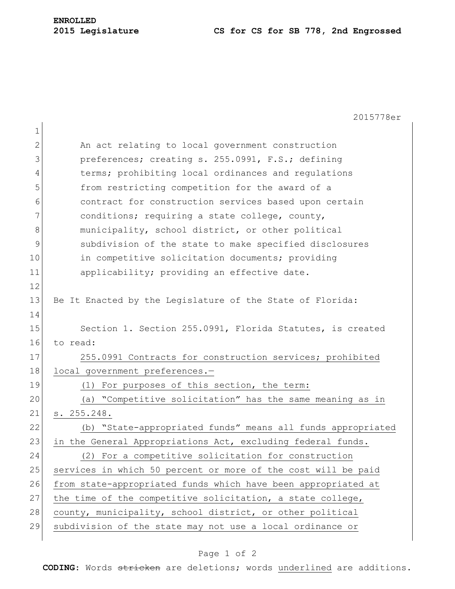# **2015 Legislature CS for CS for SB 778, 2nd Engrossed**

|             | 2015778er                                                     |
|-------------|---------------------------------------------------------------|
| $\mathbf 1$ |                                                               |
| 2           | An act relating to local government construction              |
| 3           | preferences; creating s. 255.0991, F.S.; defining             |
| 4           | terms; prohibiting local ordinances and regulations           |
| 5           | from restricting competition for the award of a               |
| 6           | contract for construction services based upon certain         |
| 7           | conditions; requiring a state college, county,                |
| 8           | municipality, school district, or other political             |
| 9           | subdivision of the state to make specified disclosures        |
| 10          | in competitive solicitation documents; providing              |
| 11          | applicability; providing an effective date.                   |
| 12          |                                                               |
| 13          | Be It Enacted by the Legislature of the State of Florida:     |
| 14          |                                                               |
| 15          | Section 1. Section 255.0991, Florida Statutes, is created     |
| 16          | to read:                                                      |
| 17          | 255.0991 Contracts for construction services; prohibited      |
| 18          | local government preferences.-                                |
| 19          | (1) For purposes of this section, the term:                   |
| 20          | (a) "Competitive solicitation" has the same meaning as in     |
| 21          | s. 255.248.                                                   |
| 22          | (b) "State-appropriated funds" means all funds appropriated   |
| 23          | in the General Appropriations Act, excluding federal funds.   |
| 24          | (2) For a competitive solicitation for construction           |
| 25          | services in which 50 percent or more of the cost will be paid |
| 26          | from state-appropriated funds which have been appropriated at |
| 27          | the time of the competitive solicitation, a state college,    |
| 28          | county, municipality, school district, or other political     |
| 29          | subdivision of the state may not use a local ordinance or     |
|             |                                                               |

## Page 1 of 2

**CODING**: Words stricken are deletions; words underlined are additions.